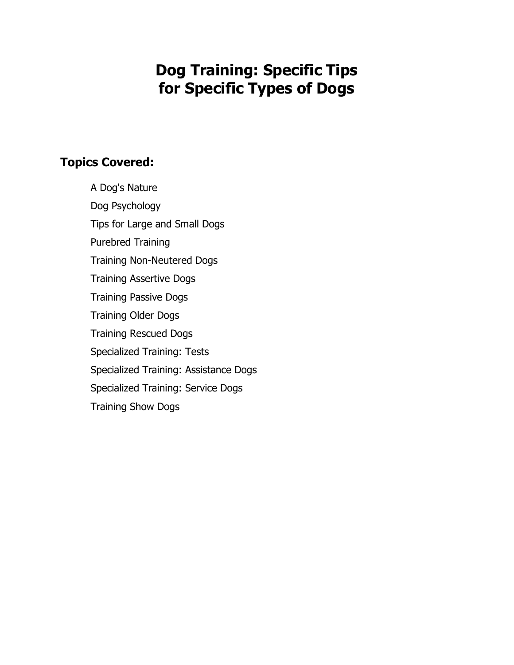# **Dog Training: Specific Tips for Specific Types of Dogs**

## **Topics Covered:**

A Dog's Nature Dog Psychology Tips for Large and Small Dogs Purebred Training Training Non-Neutered Dogs Training Assertive Dogs Training Passive Dogs Training Older Dogs Training Rescued Dogs Specialized Training: Tests Specialized Training: Assistance Dogs Specialized Training: Service Dogs Training Show Dogs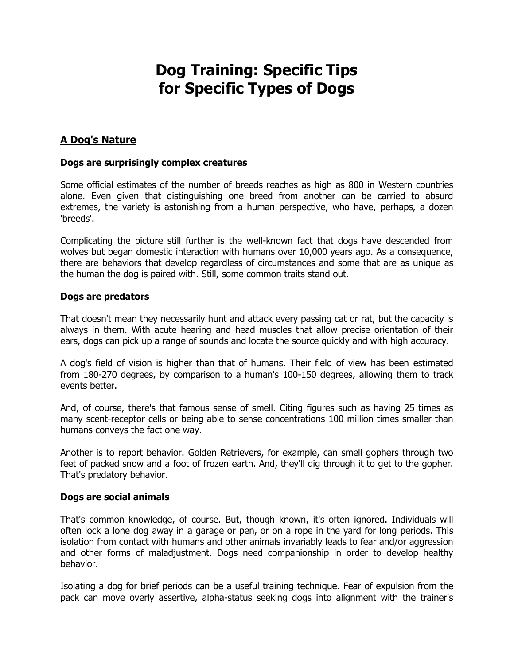## **Dog Training: Specific Tips for Specific Types of Dogs**

## **A Dog's Nature**

#### **Dogs are surprisingly complex creatures**

Some official estimates of the number of breeds reaches as high as 800 in Western countries alone. Even given that distinguishing one breed from another can be carried to absurd extremes, the variety is astonishing from a human perspective, who have, perhaps, a dozen 'breeds'.

Complicating the picture still further is the well-known fact that dogs have descended from wolves but began domestic interaction with humans over 10,000 years ago. As a consequence, there are behaviors that develop regardless of circumstances and some that are as unique as the human the dog is paired with. Still, some common traits stand out.

#### **Dogs are predators**

That doesn't mean they necessarily hunt and attack every passing cat or rat, but the capacity is always in them. With acute hearing and head muscles that allow precise orientation of their ears, dogs can pick up a range of sounds and locate the source quickly and with high accuracy.

A dog's field of vision is higher than that of humans. Their field of view has been estimated from 180-270 degrees, by comparison to a human's 100-150 degrees, allowing them to track events better.

And, of course, there's that famous sense of smell. Citing figures such as having 25 times as many scent-receptor cells or being able to sense concentrations 100 million times smaller than humans conveys the fact one way.

Another is to report behavior. Golden Retrievers, for example, can smell gophers through two feet of packed snow and a foot of frozen earth. And, they'll dig through it to get to the gopher. That's predatory behavior.

#### **Dogs are social animals**

That's common knowledge, of course. But, though known, it's often ignored. Individuals will often lock a lone dog away in a garage or pen, or on a rope in the yard for long periods. This isolation from contact with humans and other animals invariably leads to fear and/or aggression and other forms of maladjustment. Dogs need companionship in order to develop healthy behavior.

Isolating a dog for brief periods can be a useful training technique. Fear of expulsion from the pack can move overly assertive, alpha-status seeking dogs into alignment with the trainer's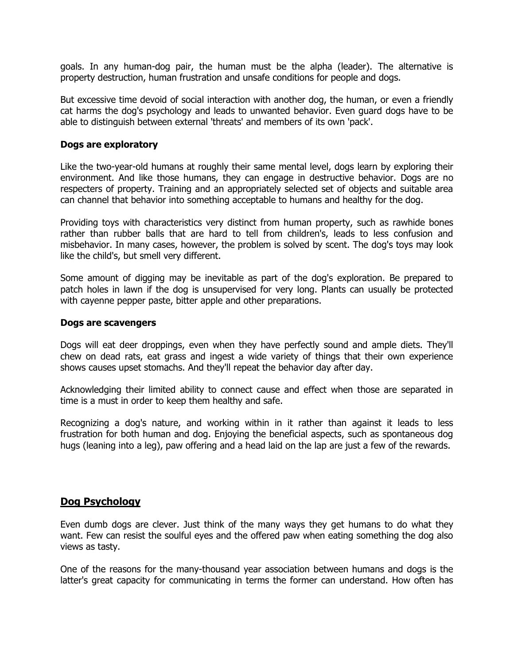goals. In any human-dog pair, the human must be the alpha (leader). The alternative is property destruction, human frustration and unsafe conditions for people and dogs.

But excessive time devoid of social interaction with another dog, the human, or even a friendly cat harms the dog's psychology and leads to unwanted behavior. Even guard dogs have to be able to distinguish between external 'threats' and members of its own 'pack'.

#### **Dogs are exploratory**

Like the two-year-old humans at roughly their same mental level, dogs learn by exploring their environment. And like those humans, they can engage in destructive behavior. Dogs are no respecters of property. Training and an appropriately selected set of objects and suitable area can channel that behavior into something acceptable to humans and healthy for the dog.

Providing toys with characteristics very distinct from human property, such as rawhide bones rather than rubber balls that are hard to tell from children's, leads to less confusion and misbehavior. In many cases, however, the problem is solved by scent. The dog's toys may look like the child's, but smell very different.

Some amount of digging may be inevitable as part of the dog's exploration. Be prepared to patch holes in lawn if the dog is unsupervised for very long. Plants can usually be protected with cayenne pepper paste, bitter apple and other preparations.

#### **Dogs are scavengers**

Dogs will eat deer droppings, even when they have perfectly sound and ample diets. They'll chew on dead rats, eat grass and ingest a wide variety of things that their own experience shows causes upset stomachs. And they'll repeat the behavior day after day.

Acknowledging their limited ability to connect cause and effect when those are separated in time is a must in order to keep them healthy and safe.

Recognizing a dog's nature, and working within in it rather than against it leads to less frustration for both human and dog. Enjoying the beneficial aspects, such as spontaneous dog hugs (leaning into a leg), paw offering and a head laid on the lap are just a few of the rewards.

## **Dog Psychology**

Even dumb dogs are clever. Just think of the many ways they get humans to do what they want. Few can resist the soulful eyes and the offered paw when eating something the dog also views as tasty.

One of the reasons for the many-thousand year association between humans and dogs is the latter's great capacity for communicating in terms the former can understand. How often has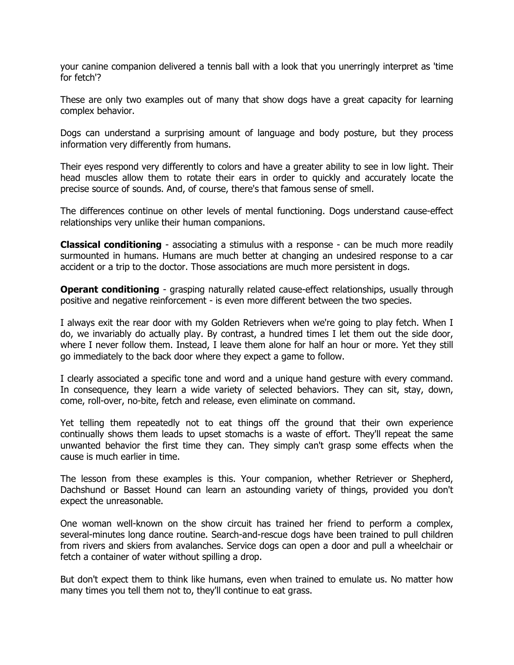your canine companion delivered a tennis ball with a look that you unerringly interpret as 'time for fetch'?

These are only two examples out of many that show dogs have a great capacity for learning complex behavior.

Dogs can understand a surprising amount of language and body posture, but they process information very differently from humans.

Their eyes respond very differently to colors and have a greater ability to see in low light. Their head muscles allow them to rotate their ears in order to quickly and accurately locate the precise source of sounds. And, of course, there's that famous sense of smell.

The differences continue on other levels of mental functioning. Dogs understand cause-effect relationships very unlike their human companions.

**Classical conditioning** - associating a stimulus with a response - can be much more readily surmounted in humans. Humans are much better at changing an undesired response to a car accident or a trip to the doctor. Those associations are much more persistent in dogs.

**Operant conditioning** - grasping naturally related cause-effect relationships, usually through positive and negative reinforcement - is even more different between the two species.

I always exit the rear door with my Golden Retrievers when we're going to play fetch. When I do, we invariably do actually play. By contrast, a hundred times I let them out the side door, where I never follow them. Instead, I leave them alone for half an hour or more. Yet they still go immediately to the back door where they expect a game to follow.

I clearly associated a specific tone and word and a unique hand gesture with every command. In consequence, they learn a wide variety of selected behaviors. They can sit, stay, down, come, roll-over, no-bite, fetch and release, even eliminate on command.

Yet telling them repeatedly not to eat things off the ground that their own experience continually shows them leads to upset stomachs is a waste of effort. They'll repeat the same unwanted behavior the first time they can. They simply can't grasp some effects when the cause is much earlier in time.

The lesson from these examples is this. Your companion, whether Retriever or Shepherd, Dachshund or Basset Hound can learn an astounding variety of things, provided you don't expect the unreasonable.

One woman well-known on the show circuit has trained her friend to perform a complex, several-minutes long dance routine. Search-and-rescue dogs have been trained to pull children from rivers and skiers from avalanches. Service dogs can open a door and pull a wheelchair or fetch a container of water without spilling a drop.

But don't expect them to think like humans, even when trained to emulate us. No matter how many times you tell them not to, they'll continue to eat grass.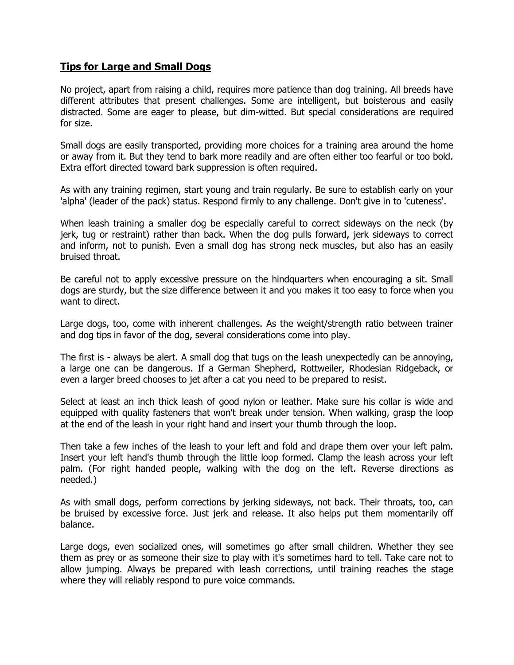#### **Tips for Large and Small Dogs**

No project, apart from raising a child, requires more patience than dog training. All breeds have different attributes that present challenges. Some are intelligent, but boisterous and easily distracted. Some are eager to please, but dim-witted. But special considerations are required for size.

Small dogs are easily transported, providing more choices for a training area around the home or away from it. But they tend to bark more readily and are often either too fearful or too bold. Extra effort directed toward bark suppression is often required.

As with any training regimen, start young and train regularly. Be sure to establish early on your 'alpha' (leader of the pack) status. Respond firmly to any challenge. Don't give in to 'cuteness'.

When leash training a smaller dog be especially careful to correct sideways on the neck (by jerk, tug or restraint) rather than back. When the dog pulls forward, jerk sideways to correct and inform, not to punish. Even a small dog has strong neck muscles, but also has an easily bruised throat.

Be careful not to apply excessive pressure on the hindquarters when encouraging a sit. Small dogs are sturdy, but the size difference between it and you makes it too easy to force when you want to direct.

Large dogs, too, come with inherent challenges. As the weight/strength ratio between trainer and dog tips in favor of the dog, several considerations come into play.

The first is - always be alert. A small dog that tugs on the leash unexpectedly can be annoying, a large one can be dangerous. If a German Shepherd, Rottweiler, Rhodesian Ridgeback, or even a larger breed chooses to jet after a cat you need to be prepared to resist.

Select at least an inch thick leash of good nylon or leather. Make sure his collar is wide and equipped with quality fasteners that won't break under tension. When walking, grasp the loop at the end of the leash in your right hand and insert your thumb through the loop.

Then take a few inches of the leash to your left and fold and drape them over your left palm. Insert your left hand's thumb through the little loop formed. Clamp the leash across your left palm. (For right handed people, walking with the dog on the left. Reverse directions as needed.)

As with small dogs, perform corrections by jerking sideways, not back. Their throats, too, can be bruised by excessive force. Just jerk and release. It also helps put them momentarily off balance.

Large dogs, even socialized ones, will sometimes go after small children. Whether they see them as prey or as someone their size to play with it's sometimes hard to tell. Take care not to allow jumping. Always be prepared with leash corrections, until training reaches the stage where they will reliably respond to pure voice commands.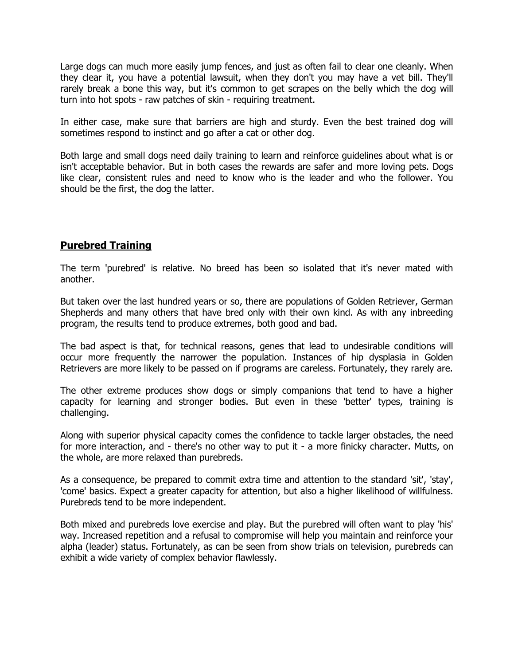Large dogs can much more easily jump fences, and just as often fail to clear one cleanly. When they clear it, you have a potential lawsuit, when they don't you may have a vet bill. They'll rarely break a bone this way, but it's common to get scrapes on the belly which the dog will turn into hot spots - raw patches of skin - requiring treatment.

In either case, make sure that barriers are high and sturdy. Even the best trained dog will sometimes respond to instinct and go after a cat or other dog.

Both large and small dogs need daily training to learn and reinforce guidelines about what is or isn't acceptable behavior. But in both cases the rewards are safer and more loving pets. Dogs like clear, consistent rules and need to know who is the leader and who the follower. You should be the first, the dog the latter.

## **Purebred Training**

The term 'purebred' is relative. No breed has been so isolated that it's never mated with another.

But taken over the last hundred years or so, there are populations of Golden Retriever, German Shepherds and many others that have bred only with their own kind. As with any inbreeding program, the results tend to produce extremes, both good and bad.

The bad aspect is that, for technical reasons, genes that lead to undesirable conditions will occur more frequently the narrower the population. Instances of hip dysplasia in Golden Retrievers are more likely to be passed on if programs are careless. Fortunately, they rarely are.

The other extreme produces show dogs or simply companions that tend to have a higher capacity for learning and stronger bodies. But even in these 'better' types, training is challenging.

Along with superior physical capacity comes the confidence to tackle larger obstacles, the need for more interaction, and - there's no other way to put it - a more finicky character. Mutts, on the whole, are more relaxed than purebreds.

As a consequence, be prepared to commit extra time and attention to the standard 'sit', 'stay', 'come' basics. Expect a greater capacity for attention, but also a higher likelihood of willfulness. Purebreds tend to be more independent.

Both mixed and purebreds love exercise and play. But the purebred will often want to play 'his' way. Increased repetition and a refusal to compromise will help you maintain and reinforce your alpha (leader) status. Fortunately, as can be seen from show trials on television, purebreds can exhibit a wide variety of complex behavior flawlessly.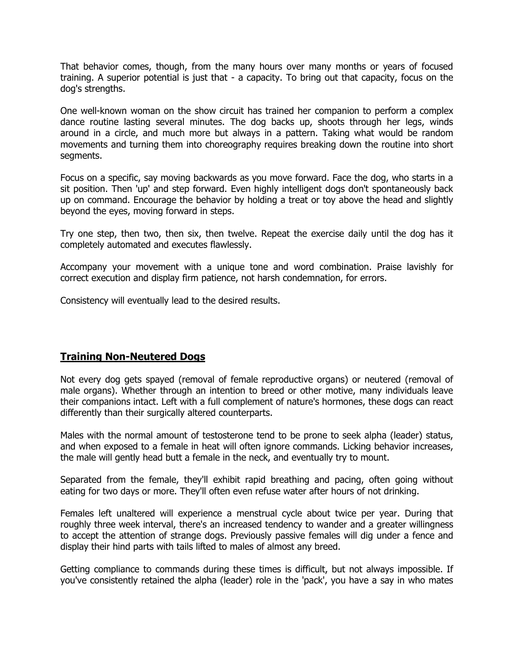That behavior comes, though, from the many hours over many months or years of focused training. A superior potential is just that - a capacity. To bring out that capacity, focus on the dog's strengths.

One well-known woman on the show circuit has trained her companion to perform a complex dance routine lasting several minutes. The dog backs up, shoots through her legs, winds around in a circle, and much more but always in a pattern. Taking what would be random movements and turning them into choreography requires breaking down the routine into short segments.

Focus on a specific, say moving backwards as you move forward. Face the dog, who starts in a sit position. Then 'up' and step forward. Even highly intelligent dogs don't spontaneously back up on command. Encourage the behavior by holding a treat or toy above the head and slightly beyond the eyes, moving forward in steps.

Try one step, then two, then six, then twelve. Repeat the exercise daily until the dog has it completely automated and executes flawlessly.

Accompany your movement with a unique tone and word combination. Praise lavishly for correct execution and display firm patience, not harsh condemnation, for errors.

Consistency will eventually lead to the desired results.

## **Training Non-Neutered Dogs**

Not every dog gets spayed (removal of female reproductive organs) or neutered (removal of male organs). Whether through an intention to breed or other motive, many individuals leave their companions intact. Left with a full complement of nature's hormones, these dogs can react differently than their surgically altered counterparts.

Males with the normal amount of testosterone tend to be prone to seek alpha (leader) status, and when exposed to a female in heat will often ignore commands. Licking behavior increases, the male will gently head butt a female in the neck, and eventually try to mount.

Separated from the female, they'll exhibit rapid breathing and pacing, often going without eating for two days or more. They'll often even refuse water after hours of not drinking.

Females left unaltered will experience a menstrual cycle about twice per year. During that roughly three week interval, there's an increased tendency to wander and a greater willingness to accept the attention of strange dogs. Previously passive females will dig under a fence and display their hind parts with tails lifted to males of almost any breed.

Getting compliance to commands during these times is difficult, but not always impossible. If you've consistently retained the alpha (leader) role in the 'pack', you have a say in who mates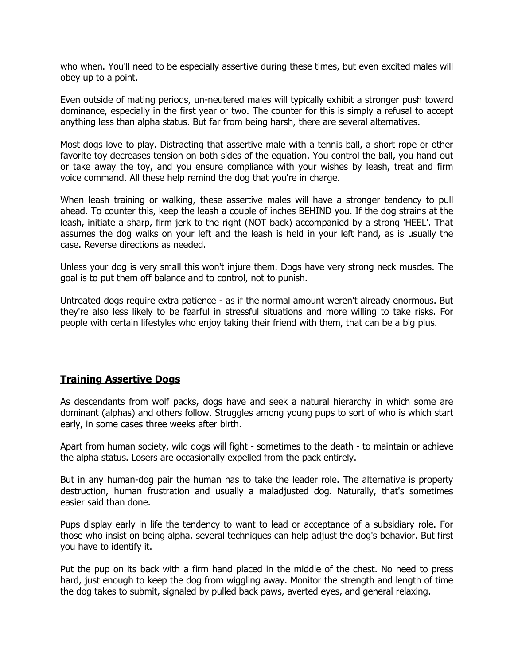who when. You'll need to be especially assertive during these times, but even excited males will obey up to a point.

Even outside of mating periods, un-neutered males will typically exhibit a stronger push toward dominance, especially in the first year or two. The counter for this is simply a refusal to accept anything less than alpha status. But far from being harsh, there are several alternatives.

Most dogs love to play. Distracting that assertive male with a tennis ball, a short rope or other favorite toy decreases tension on both sides of the equation. You control the ball, you hand out or take away the toy, and you ensure compliance with your wishes by leash, treat and firm voice command. All these help remind the dog that you're in charge.

When leash training or walking, these assertive males will have a stronger tendency to pull ahead. To counter this, keep the leash a couple of inches BEHIND you. If the dog strains at the leash, initiate a sharp, firm jerk to the right (NOT back) accompanied by a strong 'HEEL'. That assumes the dog walks on your left and the leash is held in your left hand, as is usually the case. Reverse directions as needed.

Unless your dog is very small this won't injure them. Dogs have very strong neck muscles. The goal is to put them off balance and to control, not to punish.

Untreated dogs require extra patience - as if the normal amount weren't already enormous. But they're also less likely to be fearful in stressful situations and more willing to take risks. For people with certain lifestyles who enjoy taking their friend with them, that can be a big plus.

## **Training Assertive Dogs**

As descendants from wolf packs, dogs have and seek a natural hierarchy in which some are dominant (alphas) and others follow. Struggles among young pups to sort of who is which start early, in some cases three weeks after birth.

Apart from human society, wild dogs will fight - sometimes to the death - to maintain or achieve the alpha status. Losers are occasionally expelled from the pack entirely.

But in any human-dog pair the human has to take the leader role. The alternative is property destruction, human frustration and usually a maladjusted dog. Naturally, that's sometimes easier said than done.

Pups display early in life the tendency to want to lead or acceptance of a subsidiary role. For those who insist on being alpha, several techniques can help adjust the dog's behavior. But first you have to identify it.

Put the pup on its back with a firm hand placed in the middle of the chest. No need to press hard, just enough to keep the dog from wiggling away. Monitor the strength and length of time the dog takes to submit, signaled by pulled back paws, averted eyes, and general relaxing.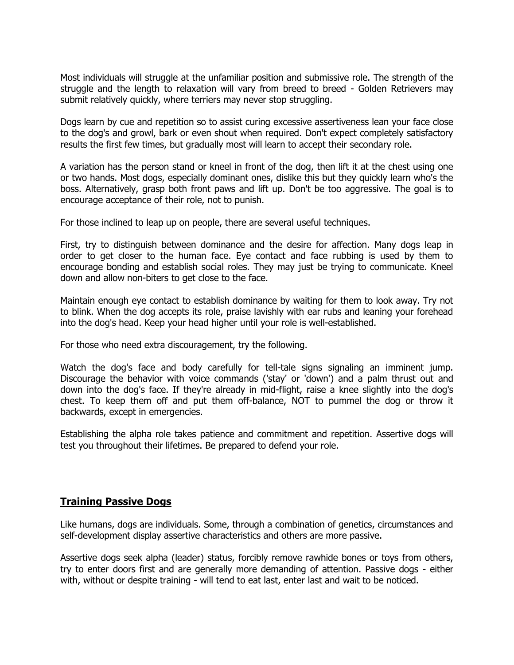Most individuals will struggle at the unfamiliar position and submissive role. The strength of the struggle and the length to relaxation will vary from breed to breed - Golden Retrievers may submit relatively quickly, where terriers may never stop struggling.

Dogs learn by cue and repetition so to assist curing excessive assertiveness lean your face close to the dog's and growl, bark or even shout when required. Don't expect completely satisfactory results the first few times, but gradually most will learn to accept their secondary role.

A variation has the person stand or kneel in front of the dog, then lift it at the chest using one or two hands. Most dogs, especially dominant ones, dislike this but they quickly learn who's the boss. Alternatively, grasp both front paws and lift up. Don't be too aggressive. The goal is to encourage acceptance of their role, not to punish.

For those inclined to leap up on people, there are several useful techniques.

First, try to distinguish between dominance and the desire for affection. Many dogs leap in order to get closer to the human face. Eye contact and face rubbing is used by them to encourage bonding and establish social roles. They may just be trying to communicate. Kneel down and allow non-biters to get close to the face.

Maintain enough eye contact to establish dominance by waiting for them to look away. Try not to blink. When the dog accepts its role, praise lavishly with ear rubs and leaning your forehead into the dog's head. Keep your head higher until your role is well-established.

For those who need extra discouragement, try the following.

Watch the dog's face and body carefully for tell-tale signs signaling an imminent jump. Discourage the behavior with voice commands ('stay' or 'down') and a palm thrust out and down into the dog's face. If they're already in mid-flight, raise a knee slightly into the dog's chest. To keep them off and put them off-balance, NOT to pummel the dog or throw it backwards, except in emergencies.

Establishing the alpha role takes patience and commitment and repetition. Assertive dogs will test you throughout their lifetimes. Be prepared to defend your role.

## **Training Passive Dogs**

Like humans, dogs are individuals. Some, through a combination of genetics, circumstances and self-development display assertive characteristics and others are more passive.

Assertive dogs seek alpha (leader) status, forcibly remove rawhide bones or toys from others, try to enter doors first and are generally more demanding of attention. Passive dogs - either with, without or despite training - will tend to eat last, enter last and wait to be noticed.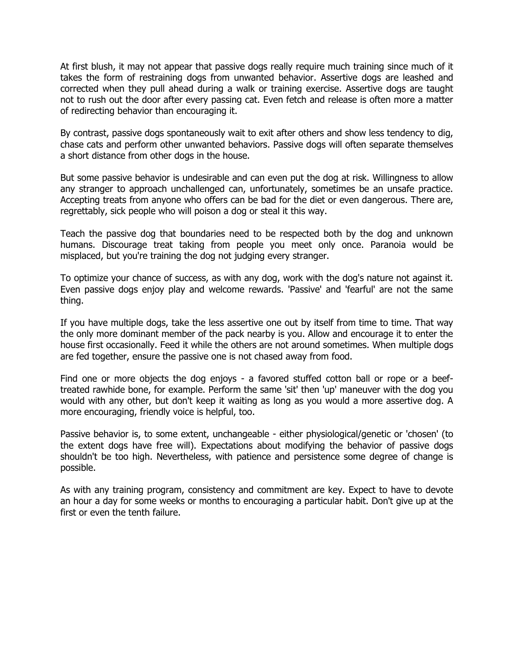At first blush, it may not appear that passive dogs really require much training since much of it takes the form of restraining dogs from unwanted behavior. Assertive dogs are leashed and corrected when they pull ahead during a walk or training exercise. Assertive dogs are taught not to rush out the door after every passing cat. Even fetch and release is often more a matter of redirecting behavior than encouraging it.

By contrast, passive dogs spontaneously wait to exit after others and show less tendency to dig, chase cats and perform other unwanted behaviors. Passive dogs will often separate themselves a short distance from other dogs in the house.

But some passive behavior is undesirable and can even put the dog at risk. Willingness to allow any stranger to approach unchallenged can, unfortunately, sometimes be an unsafe practice. Accepting treats from anyone who offers can be bad for the diet or even dangerous. There are, regrettably, sick people who will poison a dog or steal it this way.

Teach the passive dog that boundaries need to be respected both by the dog and unknown humans. Discourage treat taking from people you meet only once. Paranoia would be misplaced, but you're training the dog not judging every stranger.

To optimize your chance of success, as with any dog, work with the dog's nature not against it. Even passive dogs enjoy play and welcome rewards. 'Passive' and 'fearful' are not the same thing.

If you have multiple dogs, take the less assertive one out by itself from time to time. That way the only more dominant member of the pack nearby is you. Allow and encourage it to enter the house first occasionally. Feed it while the others are not around sometimes. When multiple dogs are fed together, ensure the passive one is not chased away from food.

Find one or more objects the dog enjoys - a favored stuffed cotton ball or rope or a beeftreated rawhide bone, for example. Perform the same 'sit' then 'up' maneuver with the dog you would with any other, but don't keep it waiting as long as you would a more assertive dog. A more encouraging, friendly voice is helpful, too.

Passive behavior is, to some extent, unchangeable - either physiological/genetic or 'chosen' (to the extent dogs have free will). Expectations about modifying the behavior of passive dogs shouldn't be too high. Nevertheless, with patience and persistence some degree of change is possible.

As with any training program, consistency and commitment are key. Expect to have to devote an hour a day for some weeks or months to encouraging a particular habit. Don't give up at the first or even the tenth failure.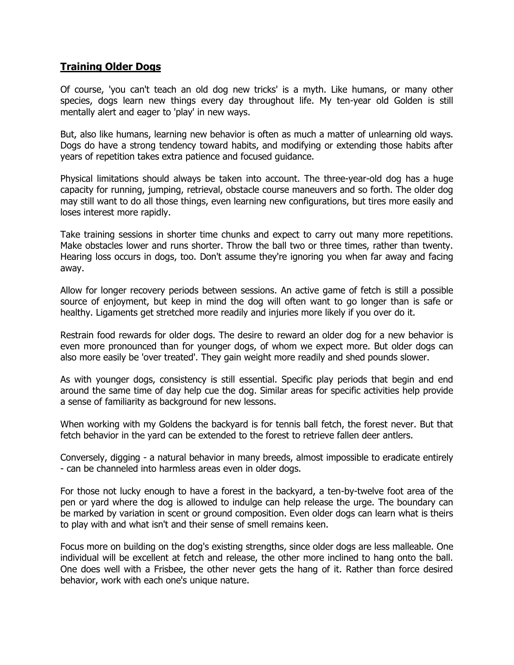## **Training Older Dogs**

Of course, 'you can't teach an old dog new tricks' is a myth. Like humans, or many other species, dogs learn new things every day throughout life. My ten-year old Golden is still mentally alert and eager to 'play' in new ways.

But, also like humans, learning new behavior is often as much a matter of unlearning old ways. Dogs do have a strong tendency toward habits, and modifying or extending those habits after years of repetition takes extra patience and focused guidance.

Physical limitations should always be taken into account. The three-year-old dog has a huge capacity for running, jumping, retrieval, obstacle course maneuvers and so forth. The older dog may still want to do all those things, even learning new configurations, but tires more easily and loses interest more rapidly.

Take training sessions in shorter time chunks and expect to carry out many more repetitions. Make obstacles lower and runs shorter. Throw the ball two or three times, rather than twenty. Hearing loss occurs in dogs, too. Don't assume they're ignoring you when far away and facing away.

Allow for longer recovery periods between sessions. An active game of fetch is still a possible source of enjoyment, but keep in mind the dog will often want to go longer than is safe or healthy. Ligaments get stretched more readily and injuries more likely if you over do it.

Restrain food rewards for older dogs. The desire to reward an older dog for a new behavior is even more pronounced than for younger dogs, of whom we expect more. But older dogs can also more easily be 'over treated'. They gain weight more readily and shed pounds slower.

As with younger dogs, consistency is still essential. Specific play periods that begin and end around the same time of day help cue the dog. Similar areas for specific activities help provide a sense of familiarity as background for new lessons.

When working with my Goldens the backyard is for tennis ball fetch, the forest never. But that fetch behavior in the yard can be extended to the forest to retrieve fallen deer antlers.

Conversely, digging - a natural behavior in many breeds, almost impossible to eradicate entirely - can be channeled into harmless areas even in older dogs.

For those not lucky enough to have a forest in the backyard, a ten-by-twelve foot area of the pen or yard where the dog is allowed to indulge can help release the urge. The boundary can be marked by variation in scent or ground composition. Even older dogs can learn what is theirs to play with and what isn't and their sense of smell remains keen.

Focus more on building on the dog's existing strengths, since older dogs are less malleable. One individual will be excellent at fetch and release, the other more inclined to hang onto the ball. One does well with a Frisbee, the other never gets the hang of it. Rather than force desired behavior, work with each one's unique nature.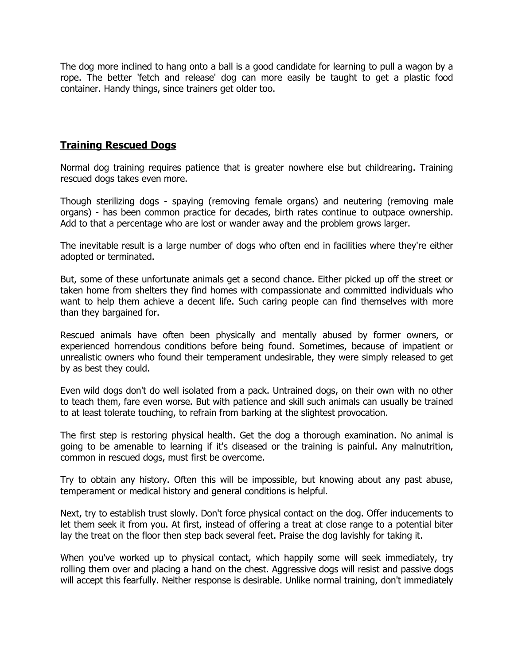The dog more inclined to hang onto a ball is a good candidate for learning to pull a wagon by a rope. The better 'fetch and release' dog can more easily be taught to get a plastic food container. Handy things, since trainers get older too.

## **Training Rescued Dogs**

Normal dog training requires patience that is greater nowhere else but childrearing. Training rescued dogs takes even more.

Though sterilizing dogs - spaying (removing female organs) and neutering (removing male organs) - has been common practice for decades, birth rates continue to outpace ownership. Add to that a percentage who are lost or wander away and the problem grows larger.

The inevitable result is a large number of dogs who often end in facilities where they're either adopted or terminated.

But, some of these unfortunate animals get a second chance. Either picked up off the street or taken home from shelters they find homes with compassionate and committed individuals who want to help them achieve a decent life. Such caring people can find themselves with more than they bargained for.

Rescued animals have often been physically and mentally abused by former owners, or experienced horrendous conditions before being found. Sometimes, because of impatient or unrealistic owners who found their temperament undesirable, they were simply released to get by as best they could.

Even wild dogs don't do well isolated from a pack. Untrained dogs, on their own with no other to teach them, fare even worse. But with patience and skill such animals can usually be trained to at least tolerate touching, to refrain from barking at the slightest provocation.

The first step is restoring physical health. Get the dog a thorough examination. No animal is going to be amenable to learning if it's diseased or the training is painful. Any malnutrition, common in rescued dogs, must first be overcome.

Try to obtain any history. Often this will be impossible, but knowing about any past abuse, temperament or medical history and general conditions is helpful.

Next, try to establish trust slowly. Don't force physical contact on the dog. Offer inducements to let them seek it from you. At first, instead of offering a treat at close range to a potential biter lay the treat on the floor then step back several feet. Praise the dog lavishly for taking it.

When you've worked up to physical contact, which happily some will seek immediately, try rolling them over and placing a hand on the chest. Aggressive dogs will resist and passive dogs will accept this fearfully. Neither response is desirable. Unlike normal training, don't immediately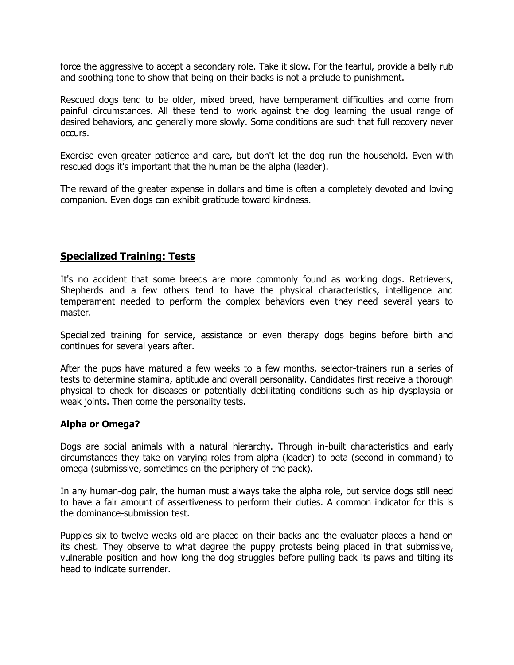force the aggressive to accept a secondary role. Take it slow. For the fearful, provide a belly rub and soothing tone to show that being on their backs is not a prelude to punishment.

Rescued dogs tend to be older, mixed breed, have temperament difficulties and come from painful circumstances. All these tend to work against the dog learning the usual range of desired behaviors, and generally more slowly. Some conditions are such that full recovery never occurs.

Exercise even greater patience and care, but don't let the dog run the household. Even with rescued dogs it's important that the human be the alpha (leader).

The reward of the greater expense in dollars and time is often a completely devoted and loving companion. Even dogs can exhibit gratitude toward kindness.

## **Specialized Training: Tests**

It's no accident that some breeds are more commonly found as working dogs. Retrievers, Shepherds and a few others tend to have the physical characteristics, intelligence and temperament needed to perform the complex behaviors even they need several years to master.

Specialized training for service, assistance or even therapy dogs begins before birth and continues for several years after.

After the pups have matured a few weeks to a few months, selector-trainers run a series of tests to determine stamina, aptitude and overall personality. Candidates first receive a thorough physical to check for diseases or potentially debilitating conditions such as hip dysplaysia or weak joints. Then come the personality tests.

#### **Alpha or Omega?**

Dogs are social animals with a natural hierarchy. Through in-built characteristics and early circumstances they take on varying roles from alpha (leader) to beta (second in command) to omega (submissive, sometimes on the periphery of the pack).

In any human-dog pair, the human must always take the alpha role, but service dogs still need to have a fair amount of assertiveness to perform their duties. A common indicator for this is the dominance-submission test.

Puppies six to twelve weeks old are placed on their backs and the evaluator places a hand on its chest. They observe to what degree the puppy protests being placed in that submissive, vulnerable position and how long the dog struggles before pulling back its paws and tilting its head to indicate surrender.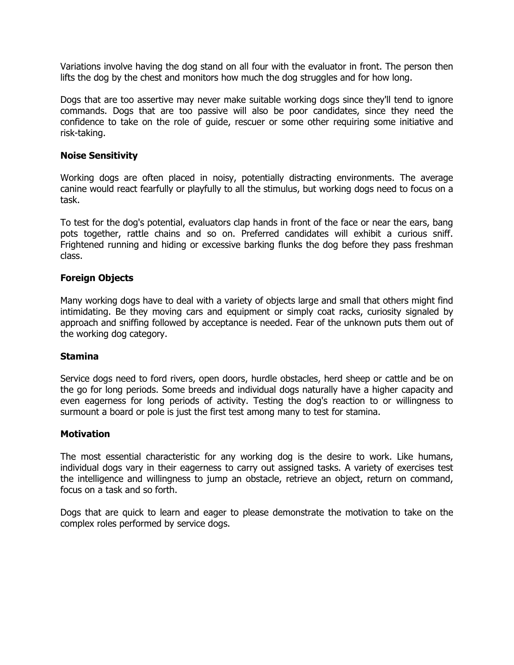Variations involve having the dog stand on all four with the evaluator in front. The person then lifts the dog by the chest and monitors how much the dog struggles and for how long.

Dogs that are too assertive may never make suitable working dogs since they'll tend to ignore commands. Dogs that are too passive will also be poor candidates, since they need the confidence to take on the role of guide, rescuer or some other requiring some initiative and risk-taking.

#### **Noise Sensitivity**

Working dogs are often placed in noisy, potentially distracting environments. The average canine would react fearfully or playfully to all the stimulus, but working dogs need to focus on a task.

To test for the dog's potential, evaluators clap hands in front of the face or near the ears, bang pots together, rattle chains and so on. Preferred candidates will exhibit a curious sniff. Frightened running and hiding or excessive barking flunks the dog before they pass freshman class.

#### **Foreign Objects**

Many working dogs have to deal with a variety of objects large and small that others might find intimidating. Be they moving cars and equipment or simply coat racks, curiosity signaled by approach and sniffing followed by acceptance is needed. Fear of the unknown puts them out of the working dog category.

#### **Stamina**

Service dogs need to ford rivers, open doors, hurdle obstacles, herd sheep or cattle and be on the go for long periods. Some breeds and individual dogs naturally have a higher capacity and even eagerness for long periods of activity. Testing the dog's reaction to or willingness to surmount a board or pole is just the first test among many to test for stamina.

#### **Motivation**

The most essential characteristic for any working dog is the desire to work. Like humans, individual dogs vary in their eagerness to carry out assigned tasks. A variety of exercises test the intelligence and willingness to jump an obstacle, retrieve an object, return on command, focus on a task and so forth.

Dogs that are quick to learn and eager to please demonstrate the motivation to take on the complex roles performed by service dogs.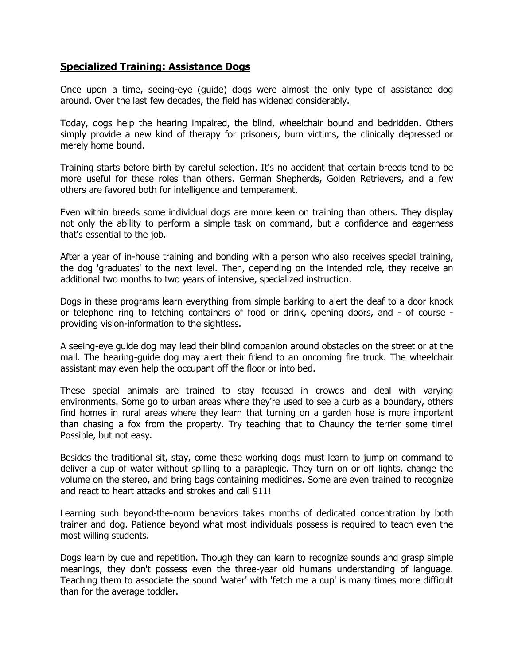## **Specialized Training: Assistance Dogs**

Once upon a time, seeing-eye (guide) dogs were almost the only type of assistance dog around. Over the last few decades, the field has widened considerably.

Today, dogs help the hearing impaired, the blind, wheelchair bound and bedridden. Others simply provide a new kind of therapy for prisoners, burn victims, the clinically depressed or merely home bound.

Training starts before birth by careful selection. It's no accident that certain breeds tend to be more useful for these roles than others. German Shepherds, Golden Retrievers, and a few others are favored both for intelligence and temperament.

Even within breeds some individual dogs are more keen on training than others. They display not only the ability to perform a simple task on command, but a confidence and eagerness that's essential to the job.

After a year of in-house training and bonding with a person who also receives special training, the dog 'graduates' to the next level. Then, depending on the intended role, they receive an additional two months to two years of intensive, specialized instruction.

Dogs in these programs learn everything from simple barking to alert the deaf to a door knock or telephone ring to fetching containers of food or drink, opening doors, and - of course providing vision-information to the sightless.

A seeing-eye guide dog may lead their blind companion around obstacles on the street or at the mall. The hearing-guide dog may alert their friend to an oncoming fire truck. The wheelchair assistant may even help the occupant off the floor or into bed.

These special animals are trained to stay focused in crowds and deal with varying environments. Some go to urban areas where they're used to see a curb as a boundary, others find homes in rural areas where they learn that turning on a garden hose is more important than chasing a fox from the property. Try teaching that to Chauncy the terrier some time! Possible, but not easy.

Besides the traditional sit, stay, come these working dogs must learn to jump on command to deliver a cup of water without spilling to a paraplegic. They turn on or off lights, change the volume on the stereo, and bring bags containing medicines. Some are even trained to recognize and react to heart attacks and strokes and call 911!

Learning such beyond-the-norm behaviors takes months of dedicated concentration by both trainer and dog. Patience beyond what most individuals possess is required to teach even the most willing students.

Dogs learn by cue and repetition. Though they can learn to recognize sounds and grasp simple meanings, they don't possess even the three-year old humans understanding of language. Teaching them to associate the sound 'water' with 'fetch me a cup' is many times more difficult than for the average toddler.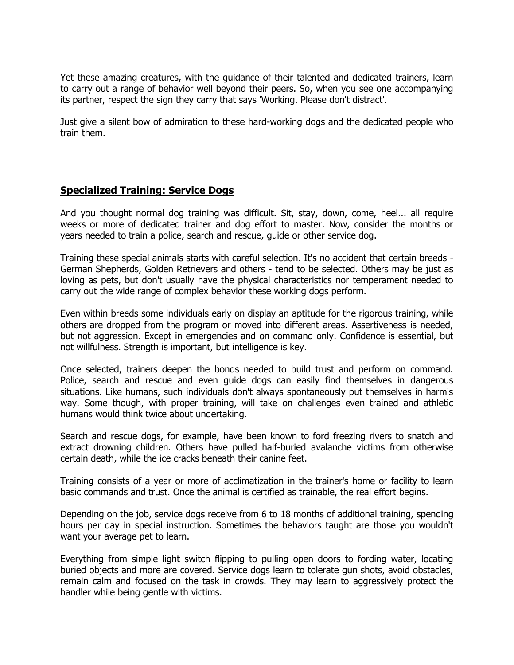Yet these amazing creatures, with the guidance of their talented and dedicated trainers, learn to carry out a range of behavior well beyond their peers. So, when you see one accompanying its partner, respect the sign they carry that says 'Working. Please don't distract'.

Just give a silent bow of admiration to these hard-working dogs and the dedicated people who train them.

## **Specialized Training: Service Dogs**

And you thought normal dog training was difficult. Sit, stay, down, come, heel... all require weeks or more of dedicated trainer and dog effort to master. Now, consider the months or years needed to train a police, search and rescue, guide or other service dog.

Training these special animals starts with careful selection. It's no accident that certain breeds - German Shepherds, Golden Retrievers and others - tend to be selected. Others may be just as loving as pets, but don't usually have the physical characteristics nor temperament needed to carry out the wide range of complex behavior these working dogs perform.

Even within breeds some individuals early on display an aptitude for the rigorous training, while others are dropped from the program or moved into different areas. Assertiveness is needed, but not aggression. Except in emergencies and on command only. Confidence is essential, but not willfulness. Strength is important, but intelligence is key.

Once selected, trainers deepen the bonds needed to build trust and perform on command. Police, search and rescue and even guide dogs can easily find themselves in dangerous situations. Like humans, such individuals don't always spontaneously put themselves in harm's way. Some though, with proper training, will take on challenges even trained and athletic humans would think twice about undertaking.

Search and rescue dogs, for example, have been known to ford freezing rivers to snatch and extract drowning children. Others have pulled half-buried avalanche victims from otherwise certain death, while the ice cracks beneath their canine feet.

Training consists of a year or more of acclimatization in the trainer's home or facility to learn basic commands and trust. Once the animal is certified as trainable, the real effort begins.

Depending on the job, service dogs receive from 6 to 18 months of additional training, spending hours per day in special instruction. Sometimes the behaviors taught are those you wouldn't want your average pet to learn.

Everything from simple light switch flipping to pulling open doors to fording water, locating buried objects and more are covered. Service dogs learn to tolerate gun shots, avoid obstacles, remain calm and focused on the task in crowds. They may learn to aggressively protect the handler while being gentle with victims.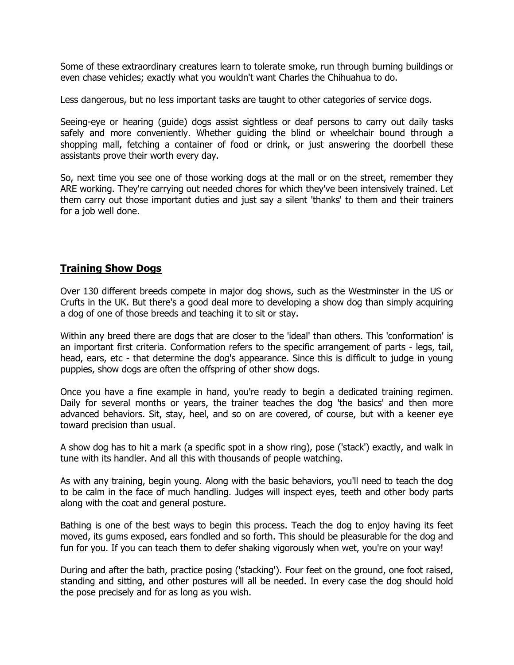Some of these extraordinary creatures learn to tolerate smoke, run through burning buildings or even chase vehicles; exactly what you wouldn't want Charles the Chihuahua to do.

Less dangerous, but no less important tasks are taught to other categories of service dogs.

Seeing-eye or hearing (guide) dogs assist sightless or deaf persons to carry out daily tasks safely and more conveniently. Whether guiding the blind or wheelchair bound through a shopping mall, fetching a container of food or drink, or just answering the doorbell these assistants prove their worth every day.

So, next time you see one of those working dogs at the mall or on the street, remember they ARE working. They're carrying out needed chores for which they've been intensively trained. Let them carry out those important duties and just say a silent 'thanks' to them and their trainers for a job well done.

## **Training Show Dogs**

Over 130 different breeds compete in major dog shows, such as the Westminster in the US or Crufts in the UK. But there's a good deal more to developing a show dog than simply acquiring a dog of one of those breeds and teaching it to sit or stay.

Within any breed there are dogs that are closer to the 'ideal' than others. This 'conformation' is an important first criteria. Conformation refers to the specific arrangement of parts - legs, tail, head, ears, etc - that determine the dog's appearance. Since this is difficult to judge in young puppies, show dogs are often the offspring of other show dogs.

Once you have a fine example in hand, you're ready to begin a dedicated training regimen. Daily for several months or years, the trainer teaches the dog 'the basics' and then more advanced behaviors. Sit, stay, heel, and so on are covered, of course, but with a keener eye toward precision than usual.

A show dog has to hit a mark (a specific spot in a show ring), pose ('stack') exactly, and walk in tune with its handler. And all this with thousands of people watching.

As with any training, begin young. Along with the basic behaviors, you'll need to teach the dog to be calm in the face of much handling. Judges will inspect eyes, teeth and other body parts along with the coat and general posture.

Bathing is one of the best ways to begin this process. Teach the dog to enjoy having its feet moved, its gums exposed, ears fondled and so forth. This should be pleasurable for the dog and fun for you. If you can teach them to defer shaking vigorously when wet, you're on your way!

During and after the bath, practice posing ('stacking'). Four feet on the ground, one foot raised, standing and sitting, and other postures will all be needed. In every case the dog should hold the pose precisely and for as long as you wish.